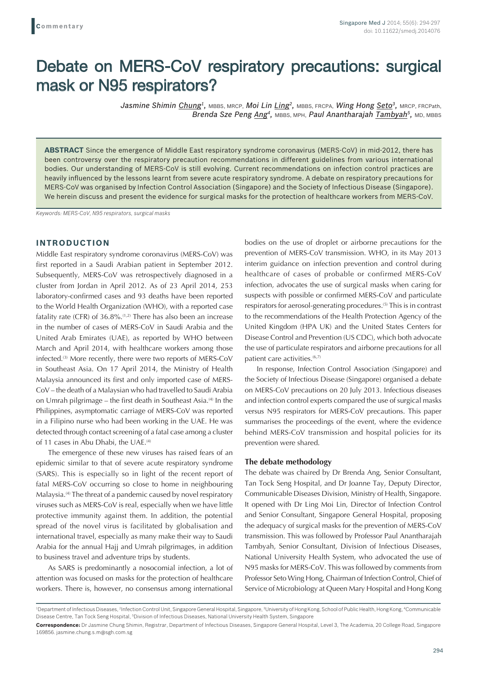# Debate on MERS-CoV respiratory precautions: surgical mask or N95 respirators?

*Jasmine Shimin Chung1,* MBBS, MRCP, *Moi Lin Ling2,* MBBS, FRCPA, *Wing Hong Seto3,* MRCP, FRCPath, *Brenda Sze Peng Ang<sup>4</sup>, MBBS, MPH, Paul Anantharajah Tambyah<sup>5</sup>, MD, MBBS* 

**ABSTRACT** Since the emergence of Middle East respiratory syndrome coronavirus (MERS-CoV) in mid-2012, there has been controversy over the respiratory precaution recommendations in different guidelines from various international bodies. Our understanding of MERS-CoV is still evolving. Current recommendations on infection control practices are heavily influenced by the lessons learnt from severe acute respiratory syndrome. A debate on respiratory precautions for MERS-CoV was organised by Infection Control Association (Singapore) and the Society of Infectious Disease (Singapore). We herein discuss and present the evidence for surgical masks for the protection of healthcare workers from MERS-CoV.

*Keywords: MERS-CoV, N95 respirators, surgical masks*

## **INTRODUCTION**

Middle East respiratory syndrome coronavirus (MERS-CoV) was first reported in a Saudi Arabian patient in September 2012. Subsequently, MERS-CoV was retrospectively diagnosed in a cluster from Jordan in April 2012. As of 23 April 2014, 253 laboratory-confirmed cases and 93 deaths have been reported to the World Health Organization (WHO), with a reported case fatality rate (CFR) of  $36.8\%$ .<sup> $(1,2)$ </sup> There has also been an increase in the number of cases of MERS-CoV in Saudi Arabia and the United Arab Emirates (UAE), as reported by WHO between March and April 2014, with healthcare workers among those infected.<sup>(3)</sup> More recently, there were two reports of MERS-CoV in Southeast Asia. On 17 April 2014, the Ministry of Health Malaysia announced its first and only imported case of MERS-CoV – the death of a Malaysian who had travelled to Saudi Arabia on Umrah pilgrimage – the first death in Southeast Asia.<sup>(4)</sup> In the Philippines, asymptomatic carriage of MERS-CoV was reported in a Filipino nurse who had been working in the UAE. He was detected through contact screening of a fatal case among a cluster of 11 cases in Abu Dhabi, the UAE.<sup>(4)</sup>

The emergence of these new viruses has raised fears of an epidemic similar to that of severe acute respiratory syndrome (SARS). This is especially so in light of the recent report of fatal MERS-CoV occurring so close to home in neighbouring Malaysia.(4) The threat of a pandemic caused by novel respiratory viruses such as MERS-CoV is real, especially when we have little protective immunity against them. In addition, the potential spread of the novel virus is facilitated by globalisation and international travel, especially as many make their way to Saudi Arabia for the annual Hajj and Umrah pilgrimages, in addition to business travel and adventure trips by students.

As SARS is predominantly a nosocomial infection, a lot of attention was focused on masks for the protection of healthcare workers. There is, however, no consensus among international bodies on the use of droplet or airborne precautions for the prevention of MERS-CoV transmission. WHO, in its May 2013 interim guidance on infection prevention and control during healthcare of cases of probable or confirmed MERS-CoV infection, advocates the use of surgical masks when caring for suspects with possible or confirmed MERS-CoV and particulate respirators for aerosol-generating procedures.(5) This is in contrast to the recommendations of the Health Protection Agency of the United Kingdom (HPA UK) and the United States Centers for Disease Control and Prevention (US CDC), which both advocate the use of particulate respirators and airborne precautions for all patient care activities.<sup>(6,7)</sup>

In response, Infection Control Association (Singapore) and the Society of Infectious Disease (Singapore) organised a debate on MERS-CoV precautions on 20 July 2013. Infectious diseases and infection control experts compared the use of surgical masks versus N95 respirators for MERS-CoV precautions. This paper summarises the proceedings of the event, where the evidence behind MERS-CoV transmission and hospital policies for its prevention were shared.

#### **The debate methodology**

The debate was chaired by Dr Brenda Ang, Senior Consultant, Tan Tock Seng Hospital, and Dr Joanne Tay, Deputy Director, Communicable Diseases Division, Ministry of Health, Singapore. It opened with Dr Ling Moi Lin, Director of Infection Control and Senior Consultant, Singapore General Hospital, proposing the adequacy of surgical masks for the prevention of MERS-CoV transmission. This was followed by Professor Paul Anantharajah Tambyah, Senior Consultant, Division of Infectious Diseases, National University Health System, who advocated the use of N95 masks for MERS-CoV. This was followed by comments from Professor Seto Wing Hong, Chairman of Infection Control, Chief of Service of Microbiology at Queen Mary Hospital and Hong Kong

<sup>&</sup>lt;sup>1</sup>Department of Infectious Diseases, <sup>2</sup>Infection Control Unit, Singapore General Hospital, Singapore, <sup>3</sup>University of Hong Kong, School of Public Health, Hong Kong, <sup>4</sup>Communicable Disease Centre, Tan Tock Seng Hospital, <sup>5</sup>Division of Infectious Diseases, National University Health System, Singapore

**Correspondence:** Dr Jasmine Chung Shimin, Registrar, Department of Infectious Diseases, Singapore General Hospital, Level 3, The Academia, 20 College Road, Singapore 169856. jasmine.chung.s.m@sgh.com.sg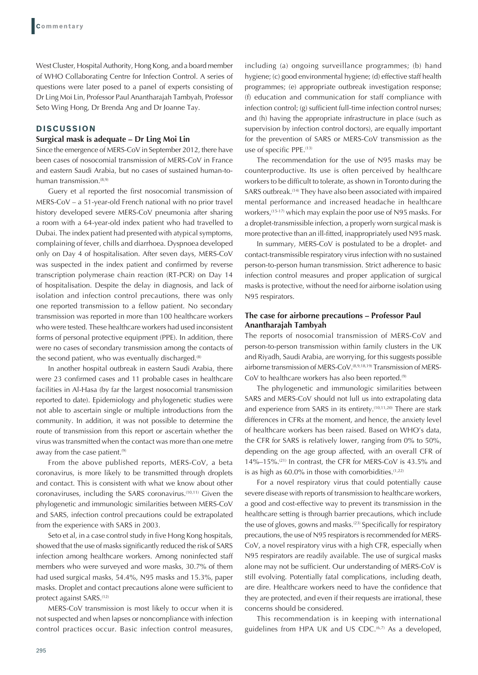West Cluster, Hospital Authority, Hong Kong, and a board member of WHO Collaborating Centre for Infection Control. A series of questions were later posed to a panel of experts consisting of Dr Ling Moi Lin, Professor Paul Anantharajah Tambyah, Professor Seto Wing Hong, Dr Brenda Ang and Dr Joanne Tay.

## **DISCUSSION**

#### **Surgical mask is adequate – Dr Ling Moi Lin**

Since the emergence of MERS-CoV in September 2012, there have been cases of nosocomial transmission of MERS-CoV in France and eastern Saudi Arabia, but no cases of sustained human-tohuman transmission.<sup>(8,9)</sup>

Guery et al reported the first nosocomial transmission of MERS-CoV – a 51-year-old French national with no prior travel history developed severe MERS-CoV pneumonia after sharing a room with a 64-year-old index patient who had travelled to Dubai. The index patient had presented with atypical symptoms, complaining of fever, chills and diarrhoea. Dyspnoea developed only on Day 4 of hospitalisation. After seven days, MERS-CoV was suspected in the index patient and confirmed by reverse transcription polymerase chain reaction (RT-PCR) on Day 14 of hospitalisation. Despite the delay in diagnosis, and lack of isolation and infection control precautions, there was only one reported transmission to a fellow patient. No secondary transmission was reported in more than 100 healthcare workers who were tested. These healthcare workers had used inconsistent forms of personal protective equipment (PPE). In addition, there were no cases of secondary transmission among the contacts of the second patient, who was eventually discharged. $(8)$ 

In another hospital outbreak in eastern Saudi Arabia, there were 23 confirmed cases and 11 probable cases in healthcare facilities in Al-Hasa (by far the largest nosocomial transmission reported to date). Epidemiology and phylogenetic studies were not able to ascertain single or multiple introductions from the community. In addition, it was not possible to determine the route of transmission from this report or ascertain whether the virus was transmitted when the contact was more than one metre away from the case patient.<sup>(9)</sup>

From the above published reports, MERS-CoV, a beta coronavirus, is more likely to be transmitted through droplets and contact. This is consistent with what we know about other coronaviruses, including the SARS coronavirus.(10,11) Given the phylogenetic and immunologic similarities between MERS-CoV and SARS, infection control precautions could be extrapolated from the experience with SARS in 2003.

Seto et al, in a case control study in five Hong Kong hospitals, showed that the use of masks significantly reduced the risk of SARS infection among healthcare workers. Among noninfected staff members who were surveyed and wore masks, 30.7% of them had used surgical masks, 54.4%, N95 masks and 15.3%, paper masks. Droplet and contact precautions alone were sufficient to protect against SARS.(12)

MERS-CoV transmission is most likely to occur when it is not suspected and when lapses or noncompliance with infection control practices occur. Basic infection control measures,

including (a) ongoing surveillance programmes; (b) hand hygiene; (c) good environmental hygiene; (d) effective staff health programmes; (e) appropriate outbreak investigation response; (f) education and communication for staff compliance with infection control; (g) sufficient full-time infection control nurses; and (h) having the appropriate infrastructure in place (such as supervision by infection control doctors), are equally important for the prevention of SARS or MERS-CoV transmission as the use of specific PPE.<sup>(13)</sup>

The recommendation for the use of N95 masks may be counterproductive. Its use is often perceived by healthcare workers to be difficult to tolerate, as shown in Toronto during the SARS outbreak.<sup>(14)</sup> They have also been associated with impaired mental performance and increased headache in healthcare workers,<sup>(15-17)</sup> which may explain the poor use of N95 masks. For a droplet-transmissible infection, a properly worn surgical mask is more protective than an ill-fitted, inappropriately used N95 mask.

In summary, MERS-CoV is postulated to be a droplet- and contact-transmissible respiratory virus infection with no sustained person-to-person human transmission. Strict adherence to basic infection control measures and proper application of surgical masks is protective, without the need for airborne isolation using N95 respirators.

## **The case for airborne precautions – Professor Paul Anantharajah Tambyah**

The reports of nosocomial transmission of MERS-CoV and person-to-person transmission within family clusters in the UK and Riyadh, Saudi Arabia, are worrying, for this suggests possible airborne transmission of MERS-CoV.(8,9,18,19) Transmission of MERS-CoV to healthcare workers has also been reported.<sup>(9)</sup>

The phylogenetic and immunologic similarities between SARS and MERS-CoV should not lull us into extrapolating data and experience from SARS in its entirety.<sup>(10,11,20)</sup> There are stark differences in CFRs at the moment, and hence, the anxiety level of healthcare workers has been raised. Based on WHO's data, the CFR for SARS is relatively lower, ranging from 0% to 50%, depending on the age group affected, with an overall CFR of 14%–15%. $(21)$  In contrast, the CFR for MERS-CoV is 43.5% and is as high as  $60.0\%$  in those with comorbidities.<sup> $(1,22)$ </sup>

For a novel respiratory virus that could potentially cause severe disease with reports of transmission to healthcare workers, a good and cost-effective way to prevent its transmission in the healthcare setting is through barrier precautions, which include the use of gloves, gowns and masks.<sup>(23)</sup> Specifically for respiratory precautions, the use of N95 respirators is recommended for MERS-CoV, a novel respiratory virus with a high CFR, especially when N95 respirators are readily available. The use of surgical masks alone may not be sufficient. Our understanding of MERS-CoV is still evolving. Potentially fatal complications, including death, are dire. Healthcare workers need to have the confidence that they are protected, and even if their requests are irrational, these concerns should be considered.

This recommendation is in keeping with international guidelines from HPA UK and US CDC.<sup>(6,7)</sup> As a developed,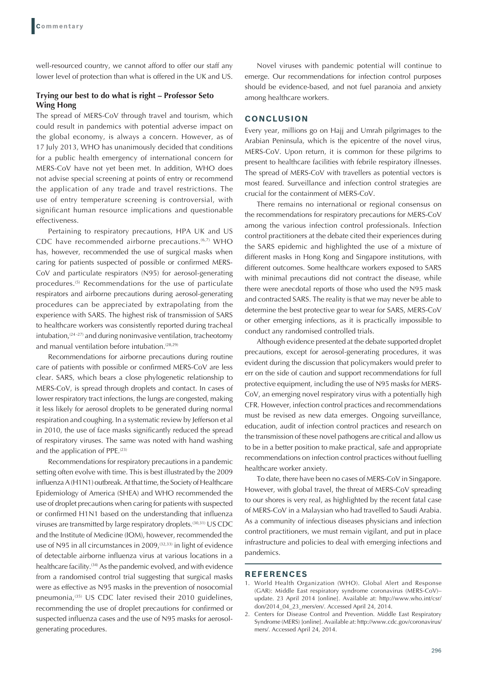well-resourced country, we cannot afford to offer our staff any lower level of protection than what is offered in the UK and US.

## **Trying our best to do what is right – Professor Seto Wing Hong**

The spread of MERS-CoV through travel and tourism, which could result in pandemics with potential adverse impact on the global economy, is always a concern. However, as of 17 July 2013, WHO has unanimously decided that conditions for a public health emergency of international concern for MERS-CoV have not yet been met. In addition, WHO does not advise special screening at points of entry or recommend the application of any trade and travel restrictions. The use of entry temperature screening is controversial, with significant human resource implications and questionable effectiveness.

Pertaining to respiratory precautions, HPA UK and US CDC have recommended airborne precautions.<sup>(6,7)</sup> WHO has, however, recommended the use of surgical masks when caring for patients suspected of possible or confirmed MERS-CoV and particulate respirators (N95) for aerosol-generating procedures.<sup>(5)</sup> Recommendations for the use of particulate respirators and airborne precautions during aerosol-generating procedures can be appreciated by extrapolating from the experience with SARS. The highest risk of transmission of SARS to healthcare workers was consistently reported during tracheal intubation, $(24 - 27)$  and during noninvasive ventilation, tracheotomy and manual ventilation before intubation.<sup>(28,29)</sup>

Recommendations for airborne precautions during routine care of patients with possible or confirmed MERS-CoV are less clear. SARS, which bears a close phylogenetic relationship to MERS-CoV, is spread through droplets and contact. In cases of lower respiratory tract infections, the lungs are congested, making it less likely for aerosol droplets to be generated during normal respiration and coughing. In a systematic review by Jefferson et al in 2010, the use of face masks significantly reduced the spread of respiratory viruses. The same was noted with hand washing and the application of PPE.<sup>(23)</sup>

Recommendations for respiratory precautions in a pandemic setting often evolve with time. This is best illustrated by the 2009 influenza A (H1N1) outbreak. At that time, the Society of Healthcare Epidemiology of America (SHEA) and WHO recommended the use of droplet precautions when caring for patients with suspected or confirmed H1N1 based on the understanding that influenza viruses are transmitted by large respiratory droplets.(30,31) US CDC and the Institute of Medicine (IOM), however, recommended the use of N95 in all circumstances in 2009,<sup>(32,33)</sup> in light of evidence of detectable airborne influenza virus at various locations in a healthcare facility.<sup>(34)</sup> As the pandemic evolved, and with evidence from a randomised control trial suggesting that surgical masks were as effective as N95 masks in the prevention of nosocomial pneumonia, $(35)$  US CDC later revised their 2010 guidelines, recommending the use of droplet precautions for confirmed or suspected influenza cases and the use of N95 masks for aerosolgenerating procedures.

Novel viruses with pandemic potential will continue to emerge. Our recommendations for infection control purposes should be evidence-based, and not fuel paranoia and anxiety among healthcare workers.

#### **CONCLUSION**

Every year, millions go on Hajj and Umrah pilgrimages to the Arabian Peninsula, which is the epicentre of the novel virus, MERS-CoV. Upon return, it is common for these pilgrims to present to healthcare facilities with febrile respiratory illnesses. The spread of MERS-CoV with travellers as potential vectors is most feared. Surveillance and infection control strategies are crucial for the containment of MERS-CoV.

There remains no international or regional consensus on the recommendations for respiratory precautions for MERS-CoV among the various infection control professionals. Infection control practitioners at the debate cited their experiences during the SARS epidemic and highlighted the use of a mixture of different masks in Hong Kong and Singapore institutions, with different outcomes. Some healthcare workers exposed to SARS with minimal precautions did not contract the disease, while there were anecdotal reports of those who used the N95 mask and contracted SARS. The reality is that we may never be able to determine the best protective gear to wear for SARS, MERS-CoV or other emerging infections, as it is practically impossible to conduct any randomised controlled trials.

Although evidence presented at the debate supported droplet precautions, except for aerosol-generating procedures, it was evident during the discussion that policymakers would prefer to err on the side of caution and support recommendations for full protective equipment, including the use of N95 masks for MERS-CoV, an emerging novel respiratory virus with a potentially high CFR. However, infection control practices and recommendations must be revised as new data emerges. Ongoing surveillance, education, audit of infection control practices and research on the transmission of these novel pathogens are critical and allow us to be in a better position to make practical, safe and appropriate recommendations on infection control practices without fuelling healthcare worker anxiety.

To date, there have been no cases of MERS-CoV in Singapore. However, with global travel, the threat of MERS-CoV spreading to our shores is very real, as highlighted by the recent fatal case of MERS-CoV in a Malaysian who had travelled to Saudi Arabia. As a community of infectious diseases physicians and infection control practitioners, we must remain vigilant, and put in place infrastructure and policies to deal with emerging infections and pandemics.

#### **REFERENCES**

- 1. World Health Organization (WHO). Global Alert and Response (GAR): Middle East respiratory syndrome coronavirus (MERS-CoV)– update. 23 April 2014 [online]. Available at: http://www.who.int/csr/ don/2014\_04\_23\_mers/en/. Accessed April 24, 2014.
- 2. Centers for Disease Control and Prevention. Middle East Respiratory Syndrome (MERS) [online]. Available at: http://www.cdc.gov/coronavirus/ mers/. Accessed April 24, 2014.